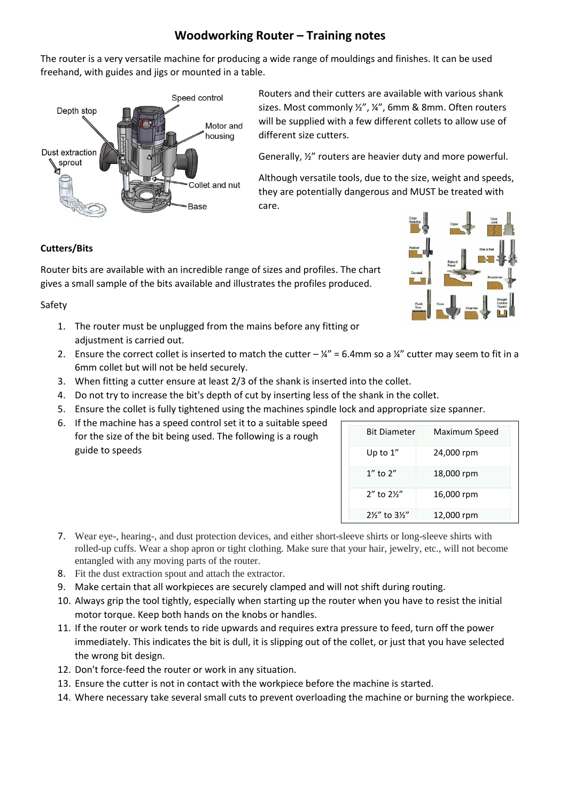## **Woodworking Router – Training notes**

The router is a very versatile machine for producing a wide range of mouldings and finishes. It can be used freehand, with guides and jigs or mounted in a table.



Routers and their cutters are available with various shank sizes. Most commonly ½", ¼", 6mm & 8mm. Often routers will be supplied with a few different collets to allow use of different size cutters.

Generally, ½" routers are heavier duty and more powerful.

Although versatile tools, due to the size, weight and speeds, they are potentially dangerous and MUST be treated with care.

## **Cutters/Bits**

Router bits are available with an incredible range of sizes and profiles. The chart gives a small sample of the bits available and illustrates the profiles produced.

Safety

- 1. The router must be unplugged from the mains before any fitting or adjustment is carried out.
- 2. Ensure the correct collet is inserted to match the cutter  $-\frac{1}{4}$ " = 6.4mm so a  $\frac{1}{4}$ " cutter may seem to fit in a 6mm collet but will not be held securely.
- 3. When fitting a cutter ensure at least 2/3 of the shank is inserted into the collet.
- 4. Do not try to increase the bit's depth of cut by inserting less of the shank in the collet.
- 5. Ensure the collet is fully tightened using the machines spindle lock and appropriate size spanner.
- 6. If the machine has a speed control set it to a suitable speed for the size of the bit being used. The following is a rough guide to speeds

| <b>Bit Diameter</b>         | Maximum Speed |
|-----------------------------|---------------|
| Up to $1''$                 | 24,000 rpm    |
| $1''$ to $2''$              | 18,000 rpm    |
| 2" to 21/2"                 | 16,000 rpm    |
| 21/ <sub>2</sub> " to 31/2" | 12,000 rpm    |

- 7. Wear eye-, hearing-, and dust protection devices, and either short-sleeve shirts or long-sleeve shirts with rolled-up cuffs. Wear a shop apron or tight clothing. Make sure that your hair, jewelry, etc., will not become entangled with any moving parts of the router.
- 8. Fit the dust extraction spout and attach the extractor.
- 9. Make certain that all workpieces are securely clamped and will not shift during routing.
- 10. Always grip the tool tightly, especially when starting up the router when you have to resist the initial motor torque. Keep both hands on the knobs or handles.
- 11. If the router or work tends to ride upwards and requires extra pressure to feed, turn off the power immediately. This indicates the bit is dull, it is slipping out of the collet, or just that you have selected the wrong bit design.
- 12. Don't force-feed the router or work in any situation.
- 13. Ensure the cutter is not in contact with the workpiece before the machine is started.
- 14. Where necessary take several small cuts to prevent overloading the machine or burning the workpiece.